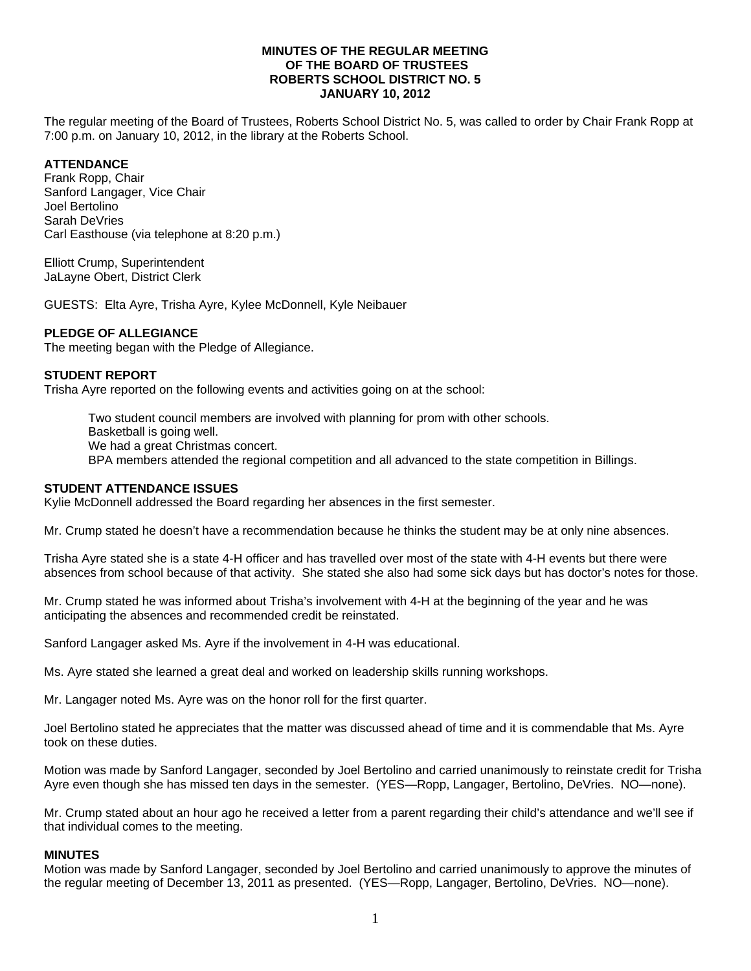#### **MINUTES OF THE REGULAR MEETING OF THE BOARD OF TRUSTEES ROBERTS SCHOOL DISTRICT NO. 5 JANUARY 10, 2012**

The regular meeting of the Board of Trustees, Roberts School District No. 5, was called to order by Chair Frank Ropp at 7:00 p.m. on January 10, 2012, in the library at the Roberts School.

## **ATTENDANCE**

Frank Ropp, Chair Sanford Langager, Vice Chair Joel Bertolino Sarah DeVries Carl Easthouse (via telephone at 8:20 p.m.)

Elliott Crump, Superintendent JaLayne Obert, District Clerk

GUESTS: Elta Ayre, Trisha Ayre, Kylee McDonnell, Kyle Neibauer

#### **PLEDGE OF ALLEGIANCE**

The meeting began with the Pledge of Allegiance.

#### **STUDENT REPORT**

Trisha Ayre reported on the following events and activities going on at the school:

 Two student council members are involved with planning for prom with other schools. Basketball is going well. We had a great Christmas concert. BPA members attended the regional competition and all advanced to the state competition in Billings.

#### **STUDENT ATTENDANCE ISSUES**

Kylie McDonnell addressed the Board regarding her absences in the first semester.

Mr. Crump stated he doesn't have a recommendation because he thinks the student may be at only nine absences.

Trisha Ayre stated she is a state 4-H officer and has travelled over most of the state with 4-H events but there were absences from school because of that activity. She stated she also had some sick days but has doctor's notes for those.

Mr. Crump stated he was informed about Trisha's involvement with 4-H at the beginning of the year and he was anticipating the absences and recommended credit be reinstated.

Sanford Langager asked Ms. Ayre if the involvement in 4-H was educational.

Ms. Ayre stated she learned a great deal and worked on leadership skills running workshops.

Mr. Langager noted Ms. Ayre was on the honor roll for the first quarter.

Joel Bertolino stated he appreciates that the matter was discussed ahead of time and it is commendable that Ms. Ayre took on these duties.

Motion was made by Sanford Langager, seconded by Joel Bertolino and carried unanimously to reinstate credit for Trisha Ayre even though she has missed ten days in the semester. (YES—Ropp, Langager, Bertolino, DeVries. NO—none).

Mr. Crump stated about an hour ago he received a letter from a parent regarding their child's attendance and we'll see if that individual comes to the meeting.

#### **MINUTES**

Motion was made by Sanford Langager, seconded by Joel Bertolino and carried unanimously to approve the minutes of the regular meeting of December 13, 2011 as presented. (YES—Ropp, Langager, Bertolino, DeVries. NO—none).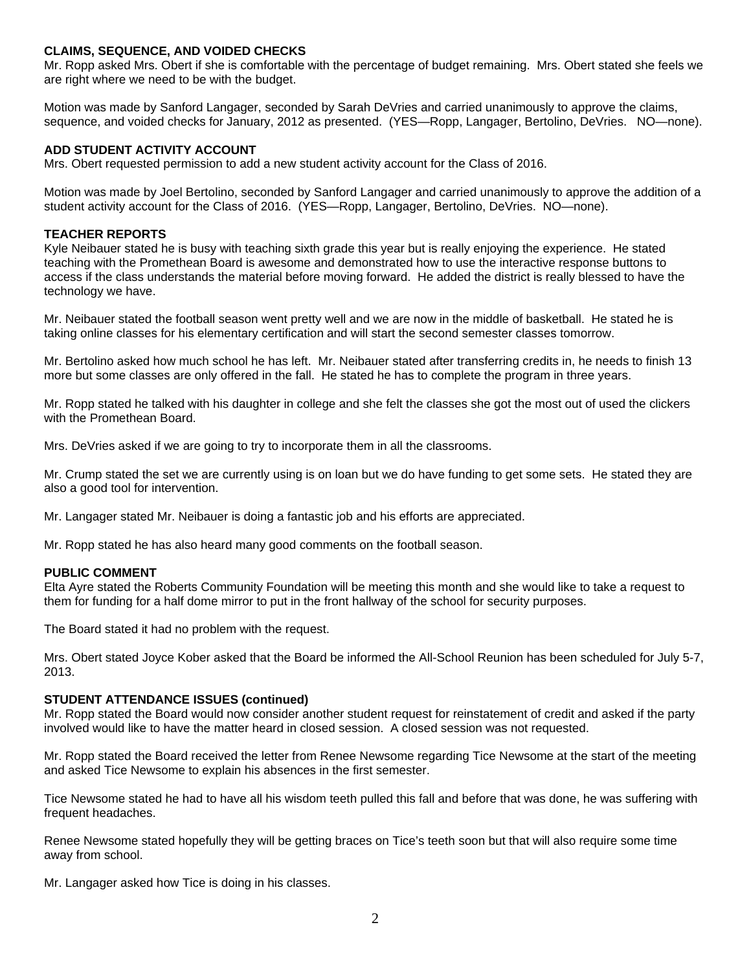#### **CLAIMS, SEQUENCE, AND VOIDED CHECKS**

Mr. Ropp asked Mrs. Obert if she is comfortable with the percentage of budget remaining. Mrs. Obert stated she feels we are right where we need to be with the budget.

Motion was made by Sanford Langager, seconded by Sarah DeVries and carried unanimously to approve the claims, sequence, and voided checks for January, 2012 as presented. (YES—Ropp, Langager, Bertolino, DeVries. NO—none).

#### **ADD STUDENT ACTIVITY ACCOUNT**

Mrs. Obert requested permission to add a new student activity account for the Class of 2016.

Motion was made by Joel Bertolino, seconded by Sanford Langager and carried unanimously to approve the addition of a student activity account for the Class of 2016. (YES—Ropp, Langager, Bertolino, DeVries. NO—none).

#### **TEACHER REPORTS**

Kyle Neibauer stated he is busy with teaching sixth grade this year but is really enjoying the experience. He stated teaching with the Promethean Board is awesome and demonstrated how to use the interactive response buttons to access if the class understands the material before moving forward. He added the district is really blessed to have the technology we have.

Mr. Neibauer stated the football season went pretty well and we are now in the middle of basketball. He stated he is taking online classes for his elementary certification and will start the second semester classes tomorrow.

Mr. Bertolino asked how much school he has left. Mr. Neibauer stated after transferring credits in, he needs to finish 13 more but some classes are only offered in the fall. He stated he has to complete the program in three years.

Mr. Ropp stated he talked with his daughter in college and she felt the classes she got the most out of used the clickers with the Promethean Board.

Mrs. DeVries asked if we are going to try to incorporate them in all the classrooms.

Mr. Crump stated the set we are currently using is on loan but we do have funding to get some sets. He stated they are also a good tool for intervention.

Mr. Langager stated Mr. Neibauer is doing a fantastic job and his efforts are appreciated.

Mr. Ropp stated he has also heard many good comments on the football season.

#### **PUBLIC COMMENT**

Elta Ayre stated the Roberts Community Foundation will be meeting this month and she would like to take a request to them for funding for a half dome mirror to put in the front hallway of the school for security purposes.

The Board stated it had no problem with the request.

Mrs. Obert stated Joyce Kober asked that the Board be informed the All-School Reunion has been scheduled for July 5-7, 2013.

#### **STUDENT ATTENDANCE ISSUES (continued)**

Mr. Ropp stated the Board would now consider another student request for reinstatement of credit and asked if the party involved would like to have the matter heard in closed session. A closed session was not requested.

Mr. Ropp stated the Board received the letter from Renee Newsome regarding Tice Newsome at the start of the meeting and asked Tice Newsome to explain his absences in the first semester.

Tice Newsome stated he had to have all his wisdom teeth pulled this fall and before that was done, he was suffering with frequent headaches.

Renee Newsome stated hopefully they will be getting braces on Tice's teeth soon but that will also require some time away from school.

Mr. Langager asked how Tice is doing in his classes.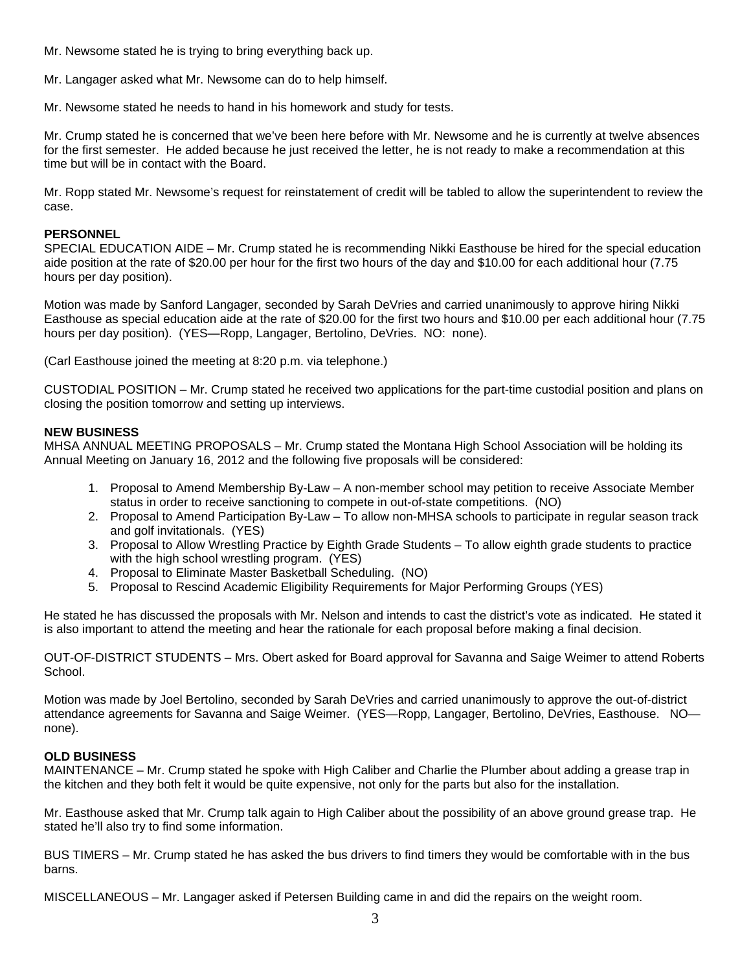Mr. Newsome stated he is trying to bring everything back up.

Mr. Langager asked what Mr. Newsome can do to help himself.

Mr. Newsome stated he needs to hand in his homework and study for tests.

Mr. Crump stated he is concerned that we've been here before with Mr. Newsome and he is currently at twelve absences for the first semester. He added because he just received the letter, he is not ready to make a recommendation at this time but will be in contact with the Board.

Mr. Ropp stated Mr. Newsome's request for reinstatement of credit will be tabled to allow the superintendent to review the case.

#### **PERSONNEL**

SPECIAL EDUCATION AIDE – Mr. Crump stated he is recommending Nikki Easthouse be hired for the special education aide position at the rate of \$20.00 per hour for the first two hours of the day and \$10.00 for each additional hour (7.75 hours per day position).

Motion was made by Sanford Langager, seconded by Sarah DeVries and carried unanimously to approve hiring Nikki Easthouse as special education aide at the rate of \$20.00 for the first two hours and \$10.00 per each additional hour (7.75 hours per day position). (YES—Ropp, Langager, Bertolino, DeVries. NO: none).

(Carl Easthouse joined the meeting at 8:20 p.m. via telephone.)

CUSTODIAL POSITION – Mr. Crump stated he received two applications for the part-time custodial position and plans on closing the position tomorrow and setting up interviews.

#### **NEW BUSINESS**

MHSA ANNUAL MEETING PROPOSALS – Mr. Crump stated the Montana High School Association will be holding its Annual Meeting on January 16, 2012 and the following five proposals will be considered:

- 1. Proposal to Amend Membership By-Law A non-member school may petition to receive Associate Member status in order to receive sanctioning to compete in out-of-state competitions. (NO)
- 2. Proposal to Amend Participation By-Law To allow non-MHSA schools to participate in regular season track and golf invitationals. (YES)
- 3. Proposal to Allow Wrestling Practice by Eighth Grade Students To allow eighth grade students to practice with the high school wrestling program. (YES)
- 4. Proposal to Eliminate Master Basketball Scheduling. (NO)
- 5. Proposal to Rescind Academic Eligibility Requirements for Major Performing Groups (YES)

He stated he has discussed the proposals with Mr. Nelson and intends to cast the district's vote as indicated. He stated it is also important to attend the meeting and hear the rationale for each proposal before making a final decision.

OUT-OF-DISTRICT STUDENTS – Mrs. Obert asked for Board approval for Savanna and Saige Weimer to attend Roberts School.

Motion was made by Joel Bertolino, seconded by Sarah DeVries and carried unanimously to approve the out-of-district attendance agreements for Savanna and Saige Weimer. (YES—Ropp, Langager, Bertolino, DeVries, Easthouse. NO none).

#### **OLD BUSINESS**

MAINTENANCE – Mr. Crump stated he spoke with High Caliber and Charlie the Plumber about adding a grease trap in the kitchen and they both felt it would be quite expensive, not only for the parts but also for the installation.

Mr. Easthouse asked that Mr. Crump talk again to High Caliber about the possibility of an above ground grease trap. He stated he'll also try to find some information.

BUS TIMERS – Mr. Crump stated he has asked the bus drivers to find timers they would be comfortable with in the bus barns.

MISCELLANEOUS – Mr. Langager asked if Petersen Building came in and did the repairs on the weight room.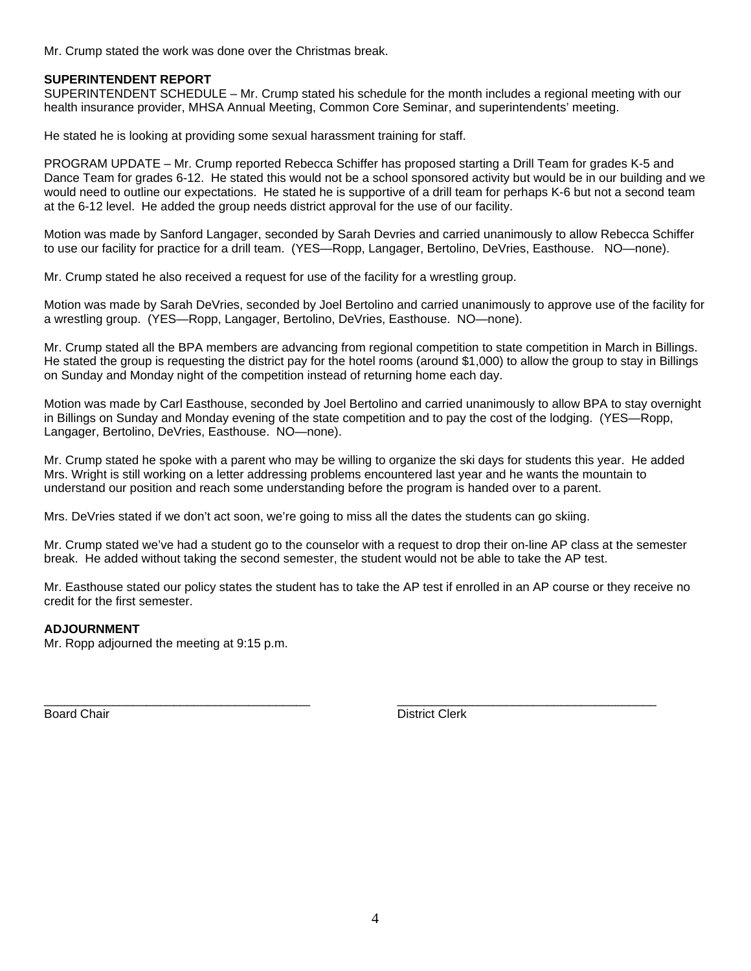Mr. Crump stated the work was done over the Christmas break.

#### **SUPERINTENDENT REPORT**

SUPERINTENDENT SCHEDULE – Mr. Crump stated his schedule for the month includes a regional meeting with our health insurance provider, MHSA Annual Meeting, Common Core Seminar, and superintendents' meeting.

He stated he is looking at providing some sexual harassment training for staff.

PROGRAM UPDATE – Mr. Crump reported Rebecca Schiffer has proposed starting a Drill Team for grades K-5 and Dance Team for grades 6-12. He stated this would not be a school sponsored activity but would be in our building and we would need to outline our expectations. He stated he is supportive of a drill team for perhaps K-6 but not a second team at the 6-12 level. He added the group needs district approval for the use of our facility.

Motion was made by Sanford Langager, seconded by Sarah Devries and carried unanimously to allow Rebecca Schiffer to use our facility for practice for a drill team. (YES—Ropp, Langager, Bertolino, DeVries, Easthouse. NO—none).

Mr. Crump stated he also received a request for use of the facility for a wrestling group.

Motion was made by Sarah DeVries, seconded by Joel Bertolino and carried unanimously to approve use of the facility for a wrestling group. (YES—Ropp, Langager, Bertolino, DeVries, Easthouse. NO—none).

Mr. Crump stated all the BPA members are advancing from regional competition to state competition in March in Billings. He stated the group is requesting the district pay for the hotel rooms (around \$1,000) to allow the group to stay in Billings on Sunday and Monday night of the competition instead of returning home each day.

Motion was made by Carl Easthouse, seconded by Joel Bertolino and carried unanimously to allow BPA to stay overnight in Billings on Sunday and Monday evening of the state competition and to pay the cost of the lodging. (YES—Ropp, Langager, Bertolino, DeVries, Easthouse. NO—none).

Mr. Crump stated he spoke with a parent who may be willing to organize the ski days for students this year. He added Mrs. Wright is still working on a letter addressing problems encountered last year and he wants the mountain to understand our position and reach some understanding before the program is handed over to a parent.

Mrs. DeVries stated if we don't act soon, we're going to miss all the dates the students can go skiing.

Mr. Crump stated we've had a student go to the counselor with a request to drop their on-line AP class at the semester break. He added without taking the second semester, the student would not be able to take the AP test.

Mr. Easthouse stated our policy states the student has to take the AP test if enrolled in an AP course or they receive no credit for the first semester.

### **ADJOURNMENT**

Mr. Ropp adjourned the meeting at 9:15 p.m.

\_\_\_\_\_\_\_\_\_\_\_\_\_\_\_\_\_\_\_\_\_\_\_\_\_\_\_\_\_\_\_\_\_\_\_\_\_\_\_ \_\_\_\_\_\_\_\_\_\_\_\_\_\_\_\_\_\_\_\_\_\_\_\_\_\_\_\_\_\_\_\_\_\_\_\_\_\_ Board Chair **District Clerk Board Chair District Clerk**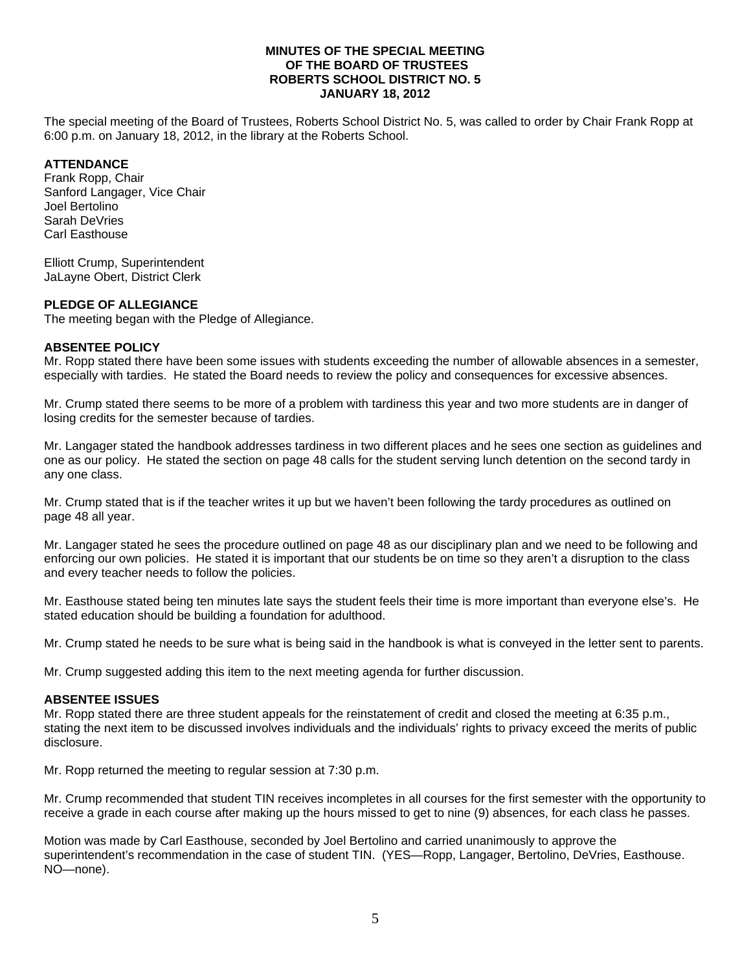#### **MINUTES OF THE SPECIAL MEETING OF THE BOARD OF TRUSTEES ROBERTS SCHOOL DISTRICT NO. 5 JANUARY 18, 2012**

The special meeting of the Board of Trustees, Roberts School District No. 5, was called to order by Chair Frank Ropp at 6:00 p.m. on January 18, 2012, in the library at the Roberts School.

## **ATTENDANCE**

Frank Ropp, Chair Sanford Langager, Vice Chair Joel Bertolino Sarah DeVries Carl Easthouse

Elliott Crump, Superintendent JaLayne Obert, District Clerk

#### **PLEDGE OF ALLEGIANCE**

The meeting began with the Pledge of Allegiance.

#### **ABSENTEE POLICY**

Mr. Ropp stated there have been some issues with students exceeding the number of allowable absences in a semester, especially with tardies. He stated the Board needs to review the policy and consequences for excessive absences.

Mr. Crump stated there seems to be more of a problem with tardiness this year and two more students are in danger of losing credits for the semester because of tardies.

Mr. Langager stated the handbook addresses tardiness in two different places and he sees one section as guidelines and one as our policy. He stated the section on page 48 calls for the student serving lunch detention on the second tardy in any one class.

Mr. Crump stated that is if the teacher writes it up but we haven't been following the tardy procedures as outlined on page 48 all year.

Mr. Langager stated he sees the procedure outlined on page 48 as our disciplinary plan and we need to be following and enforcing our own policies. He stated it is important that our students be on time so they aren't a disruption to the class and every teacher needs to follow the policies.

Mr. Easthouse stated being ten minutes late says the student feels their time is more important than everyone else's. He stated education should be building a foundation for adulthood.

Mr. Crump stated he needs to be sure what is being said in the handbook is what is conveyed in the letter sent to parents.

Mr. Crump suggested adding this item to the next meeting agenda for further discussion.

#### **ABSENTEE ISSUES**

Mr. Ropp stated there are three student appeals for the reinstatement of credit and closed the meeting at 6:35 p.m., stating the next item to be discussed involves individuals and the individuals' rights to privacy exceed the merits of public disclosure.

Mr. Ropp returned the meeting to regular session at 7:30 p.m.

Mr. Crump recommended that student TIN receives incompletes in all courses for the first semester with the opportunity to receive a grade in each course after making up the hours missed to get to nine (9) absences, for each class he passes.

Motion was made by Carl Easthouse, seconded by Joel Bertolino and carried unanimously to approve the superintendent's recommendation in the case of student TIN. (YES—Ropp, Langager, Bertolino, DeVries, Easthouse. NO—none).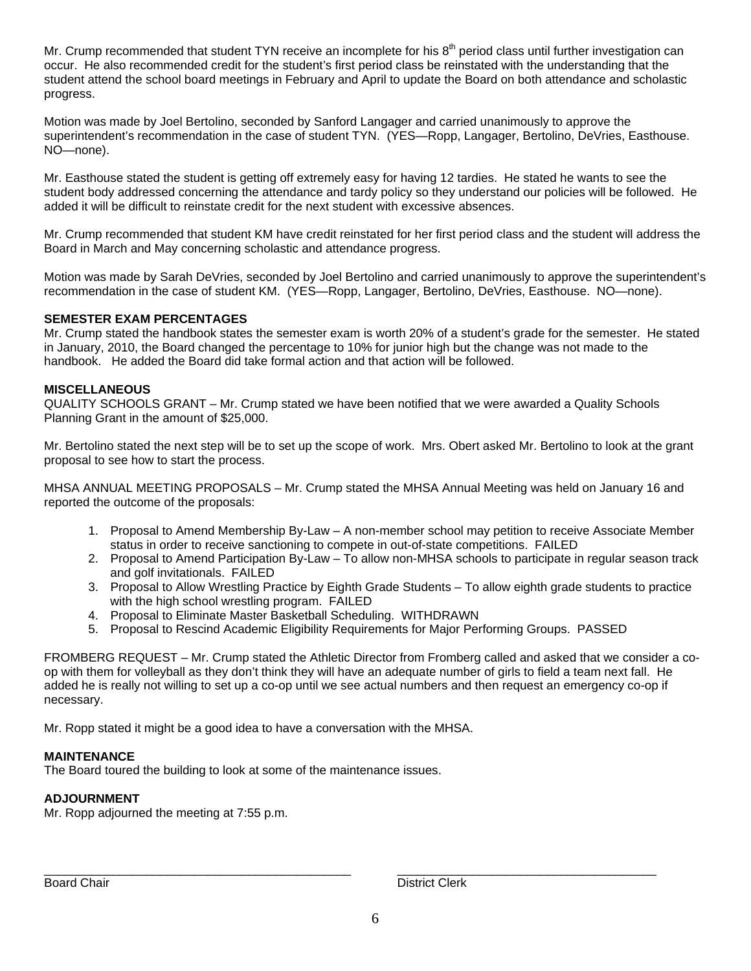Mr. Crump recommended that student TYN receive an incomplete for his  $8<sup>th</sup>$  period class until further investigation can occur. He also recommended credit for the student's first period class be reinstated with the understanding that the student attend the school board meetings in February and April to update the Board on both attendance and scholastic progress.

Motion was made by Joel Bertolino, seconded by Sanford Langager and carried unanimously to approve the superintendent's recommendation in the case of student TYN. (YES—Ropp, Langager, Bertolino, DeVries, Easthouse. NO—none).

Mr. Easthouse stated the student is getting off extremely easy for having 12 tardies. He stated he wants to see the student body addressed concerning the attendance and tardy policy so they understand our policies will be followed. He added it will be difficult to reinstate credit for the next student with excessive absences.

Mr. Crump recommended that student KM have credit reinstated for her first period class and the student will address the Board in March and May concerning scholastic and attendance progress.

Motion was made by Sarah DeVries, seconded by Joel Bertolino and carried unanimously to approve the superintendent's recommendation in the case of student KM. (YES—Ropp, Langager, Bertolino, DeVries, Easthouse. NO—none).

## **SEMESTER EXAM PERCENTAGES**

Mr. Crump stated the handbook states the semester exam is worth 20% of a student's grade for the semester. He stated in January, 2010, the Board changed the percentage to 10% for junior high but the change was not made to the handbook. He added the Board did take formal action and that action will be followed.

#### **MISCELLANEOUS**

QUALITY SCHOOLS GRANT – Mr. Crump stated we have been notified that we were awarded a Quality Schools Planning Grant in the amount of \$25,000.

Mr. Bertolino stated the next step will be to set up the scope of work. Mrs. Obert asked Mr. Bertolino to look at the grant proposal to see how to start the process.

MHSA ANNUAL MEETING PROPOSALS – Mr. Crump stated the MHSA Annual Meeting was held on January 16 and reported the outcome of the proposals:

- 1. Proposal to Amend Membership By-Law A non-member school may petition to receive Associate Member status in order to receive sanctioning to compete in out-of-state competitions. FAILED
- 2. Proposal to Amend Participation By-Law To allow non-MHSA schools to participate in regular season track and golf invitationals. FAILED
- 3. Proposal to Allow Wrestling Practice by Eighth Grade Students To allow eighth grade students to practice with the high school wrestling program. FAILED
- 4. Proposal to Eliminate Master Basketball Scheduling. WITHDRAWN
- 5. Proposal to Rescind Academic Eligibility Requirements for Major Performing Groups. PASSED

FROMBERG REQUEST – Mr. Crump stated the Athletic Director from Fromberg called and asked that we consider a coop with them for volleyball as they don't think they will have an adequate number of girls to field a team next fall. He added he is really not willing to set up a co-op until we see actual numbers and then request an emergency co-op if necessary.

Mr. Ropp stated it might be a good idea to have a conversation with the MHSA.

#### **MAINTENANCE**

The Board toured the building to look at some of the maintenance issues.

## **ADJOURNMENT**

Mr. Ropp adjourned the meeting at 7:55 p.m.

Board Chair **District Clerk Board Chair District Clerk** 

\_\_\_\_\_\_\_\_\_\_\_\_\_\_\_\_\_\_\_\_\_\_\_\_\_\_\_\_\_\_\_\_\_\_\_\_\_\_\_\_\_\_\_\_\_ \_\_\_\_\_\_\_\_\_\_\_\_\_\_\_\_\_\_\_\_\_\_\_\_\_\_\_\_\_\_\_\_\_\_\_\_\_\_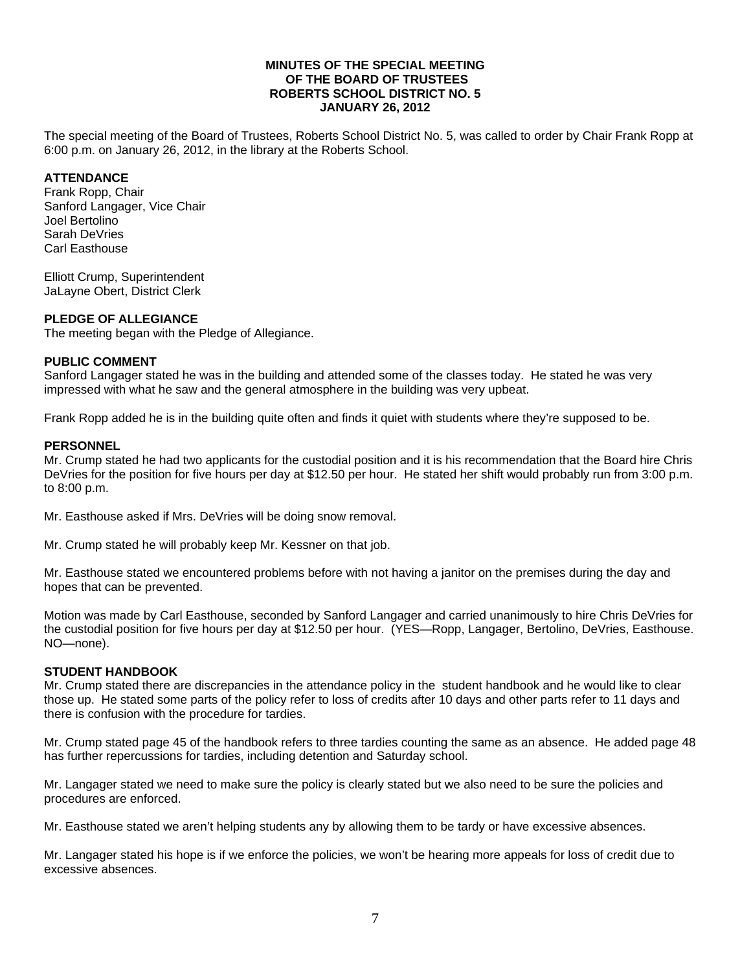#### **MINUTES OF THE SPECIAL MEETING OF THE BOARD OF TRUSTEES ROBERTS SCHOOL DISTRICT NO. 5 JANUARY 26, 2012**

The special meeting of the Board of Trustees, Roberts School District No. 5, was called to order by Chair Frank Ropp at 6:00 p.m. on January 26, 2012, in the library at the Roberts School.

#### **ATTENDANCE**

Frank Ropp, Chair Sanford Langager, Vice Chair Joel Bertolino Sarah DeVries Carl Easthouse

Elliott Crump, Superintendent JaLayne Obert, District Clerk

#### **PLEDGE OF ALLEGIANCE**

The meeting began with the Pledge of Allegiance.

#### **PUBLIC COMMENT**

Sanford Langager stated he was in the building and attended some of the classes today. He stated he was very impressed with what he saw and the general atmosphere in the building was very upbeat.

Frank Ropp added he is in the building quite often and finds it quiet with students where they're supposed to be.

#### **PERSONNEL**

Mr. Crump stated he had two applicants for the custodial position and it is his recommendation that the Board hire Chris DeVries for the position for five hours per day at \$12.50 per hour. He stated her shift would probably run from 3:00 p.m. to 8:00 p.m.

Mr. Easthouse asked if Mrs. DeVries will be doing snow removal.

Mr. Crump stated he will probably keep Mr. Kessner on that job.

Mr. Easthouse stated we encountered problems before with not having a janitor on the premises during the day and hopes that can be prevented.

Motion was made by Carl Easthouse, seconded by Sanford Langager and carried unanimously to hire Chris DeVries for the custodial position for five hours per day at \$12.50 per hour. (YES—Ropp, Langager, Bertolino, DeVries, Easthouse. NO—none).

#### **STUDENT HANDBOOK**

Mr. Crump stated there are discrepancies in the attendance policy in the student handbook and he would like to clear those up. He stated some parts of the policy refer to loss of credits after 10 days and other parts refer to 11 days and there is confusion with the procedure for tardies.

Mr. Crump stated page 45 of the handbook refers to three tardies counting the same as an absence. He added page 48 has further repercussions for tardies, including detention and Saturday school.

Mr. Langager stated we need to make sure the policy is clearly stated but we also need to be sure the policies and procedures are enforced.

Mr. Easthouse stated we aren't helping students any by allowing them to be tardy or have excessive absences.

Mr. Langager stated his hope is if we enforce the policies, we won't be hearing more appeals for loss of credit due to excessive absences.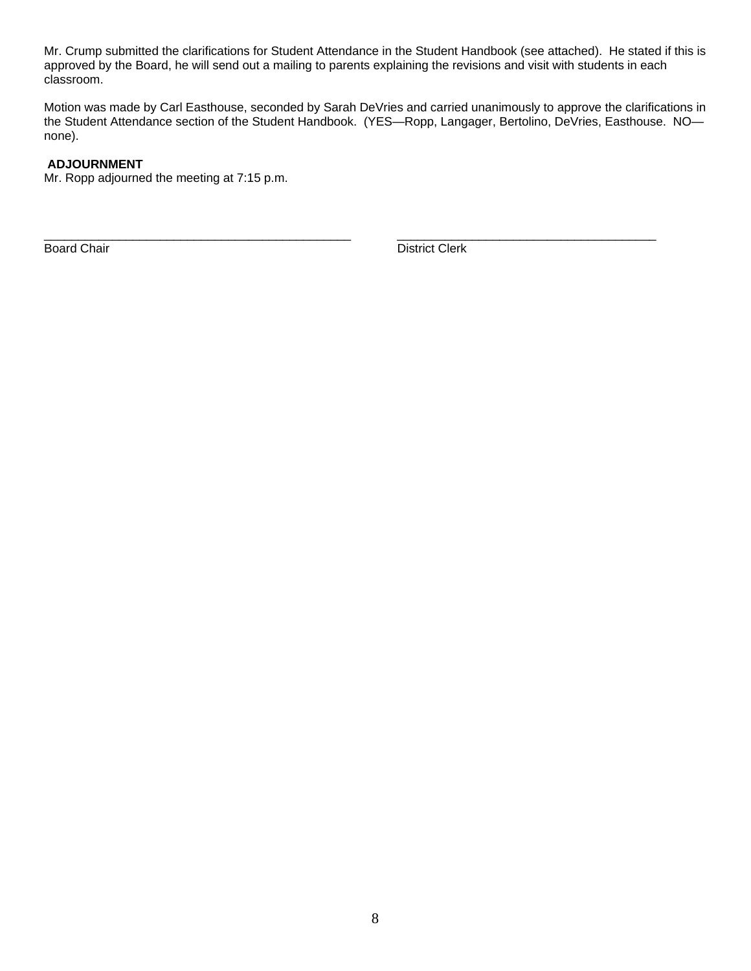Mr. Crump submitted the clarifications for Student Attendance in the Student Handbook (see attached). He stated if this is approved by the Board, he will send out a mailing to parents explaining the revisions and visit with students in each classroom.

Motion was made by Carl Easthouse, seconded by Sarah DeVries and carried unanimously to approve the clarifications in the Student Attendance section of the Student Handbook. (YES—Ropp, Langager, Bertolino, DeVries, Easthouse. NO none).

## **ADJOURNMENT**

Mr. Ropp adjourned the meeting at 7:15 p.m.

\_\_\_\_\_\_\_\_\_\_\_\_\_\_\_\_\_\_\_\_\_\_\_\_\_\_\_\_\_\_\_\_\_\_\_\_\_\_\_\_\_\_\_\_\_ \_\_\_\_\_\_\_\_\_\_\_\_\_\_\_\_\_\_\_\_\_\_\_\_\_\_\_\_\_\_\_\_\_\_\_\_\_\_ Board Chair **District Clerk**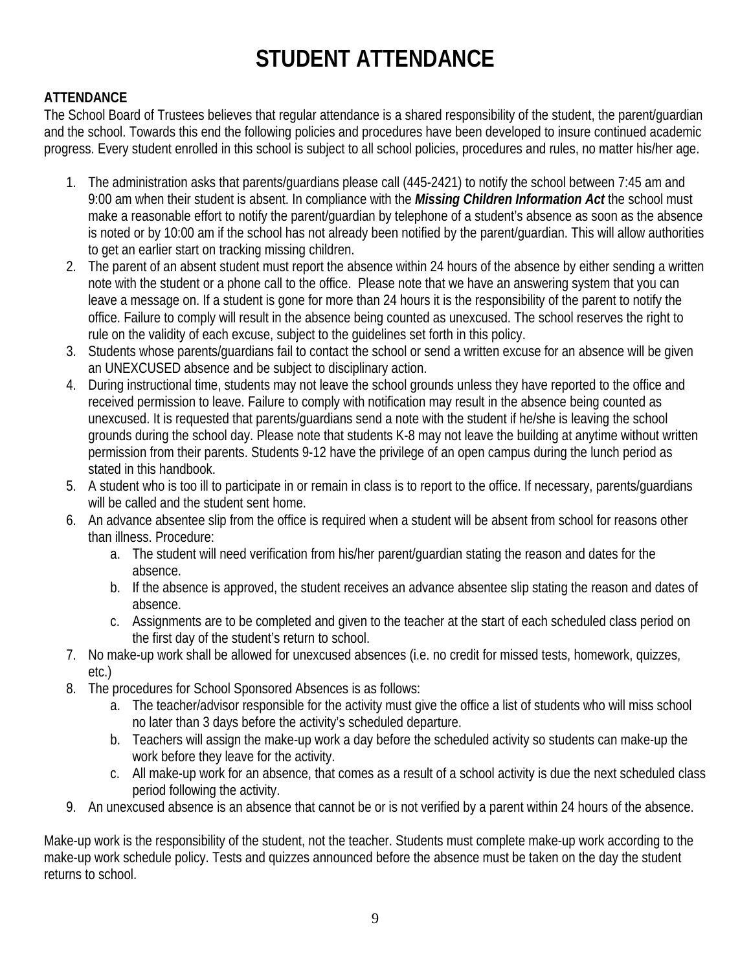# **STUDENT ATTENDANCE**

# **ATTENDANCE**

The School Board of Trustees believes that regular attendance is a shared responsibility of the student, the parent/guardian and the school. Towards this end the following policies and procedures have been developed to insure continued academic progress. Every student enrolled in this school is subject to all school policies, procedures and rules, no matter his/her age.

- 1. The administration asks that parents/guardians please call (445-2421) to notify the school between 7:45 am and 9:00 am when their student is absent. In compliance with the *Missing Children Information Act* the school must make a reasonable effort to notify the parent/guardian by telephone of a student's absence as soon as the absence is noted or by 10:00 am if the school has not already been notified by the parent/guardian. This will allow authorities to get an earlier start on tracking missing children.
- 2. The parent of an absent student must report the absence within 24 hours of the absence by either sending a written note with the student or a phone call to the office. Please note that we have an answering system that you can leave a message on. If a student is gone for more than 24 hours it is the responsibility of the parent to notify the office. Failure to comply will result in the absence being counted as unexcused. The school reserves the right to rule on the validity of each excuse, subject to the guidelines set forth in this policy.
- 3. Students whose parents/guardians fail to contact the school or send a written excuse for an absence will be given an UNEXCUSED absence and be subject to disciplinary action.
- 4. During instructional time, students may not leave the school grounds unless they have reported to the office and received permission to leave. Failure to comply with notification may result in the absence being counted as unexcused. It is requested that parents/guardians send a note with the student if he/she is leaving the school grounds during the school day. Please note that students K-8 may not leave the building at anytime without written permission from their parents. Students 9-12 have the privilege of an open campus during the lunch period as stated in this handbook.
- 5. A student who is too ill to participate in or remain in class is to report to the office. If necessary, parents/guardians will be called and the student sent home.
- 6. An advance absentee slip from the office is required when a student will be absent from school for reasons other than illness. Procedure:
	- a. The student will need verification from his/her parent/guardian stating the reason and dates for the absence.
	- b. If the absence is approved, the student receives an advance absentee slip stating the reason and dates of absence.
	- c. Assignments are to be completed and given to the teacher at the start of each scheduled class period on the first day of the student's return to school.
- 7. No make-up work shall be allowed for unexcused absences (i.e. no credit for missed tests, homework, quizzes, etc.)
- 8. The procedures for School Sponsored Absences is as follows:
	- a. The teacher/advisor responsible for the activity must give the office a list of students who will miss school no later than 3 days before the activity's scheduled departure.
	- b. Teachers will assign the make-up work a day before the scheduled activity so students can make-up the work before they leave for the activity.
	- c. All make-up work for an absence, that comes as a result of a school activity is due the next scheduled class period following the activity.
- 9. An unexcused absence is an absence that cannot be or is not verified by a parent within 24 hours of the absence.

Make-up work is the responsibility of the student, not the teacher. Students must complete make-up work according to the make-up work schedule policy. Tests and quizzes announced before the absence must be taken on the day the student returns to school.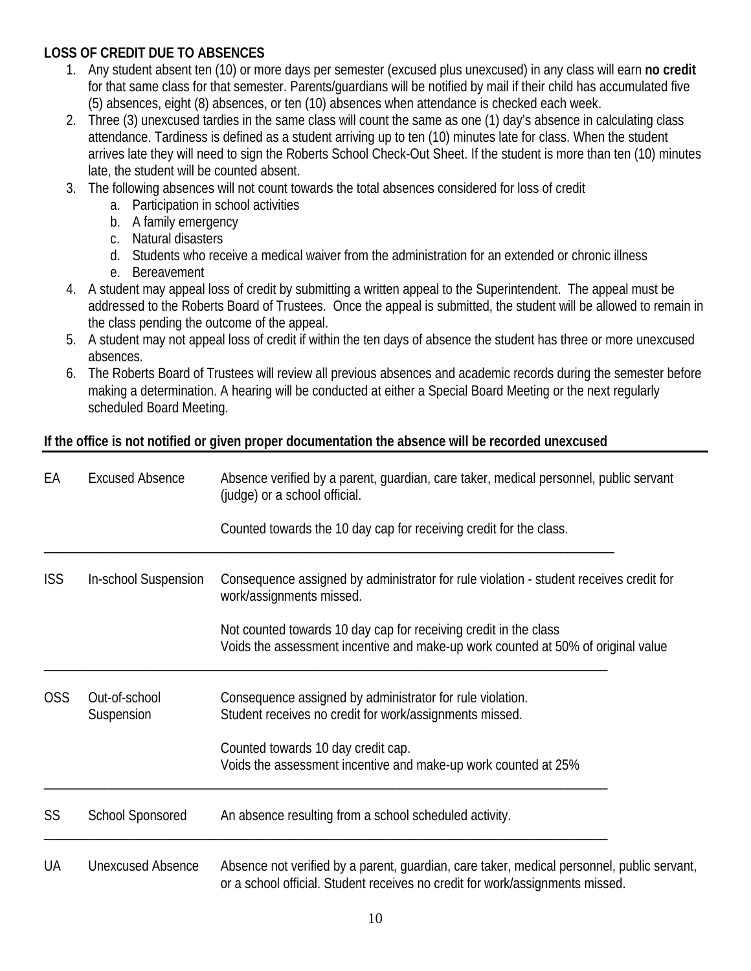# **LOSS OF CREDIT DUE TO ABSENCES**

- 1. Any student absent ten (10) or more days per semester (excused plus unexcused) in any class will earn **no credit**  for that same class for that semester. Parents/guardians will be notified by mail if their child has accumulated five (5) absences, eight (8) absences, or ten (10) absences when attendance is checked each week.
- 2. Three (3) unexcused tardies in the same class will count the same as one (1) day's absence in calculating class attendance. Tardiness is defined as a student arriving up to ten (10) minutes late for class. When the student arrives late they will need to sign the Roberts School Check-Out Sheet. If the student is more than ten (10) minutes late, the student will be counted absent.
- 3. The following absences will not count towards the total absences considered for loss of credit
	- a. Participation in school activities
	- b. A family emergency
	- c. Natural disasters
	- d. Students who receive a medical waiver from the administration for an extended or chronic illness
	- e. Bereavement
- 4. A student may appeal loss of credit by submitting a written appeal to the Superintendent. The appeal must be addressed to the Roberts Board of Trustees. Once the appeal is submitted, the student will be allowed to remain in the class pending the outcome of the appeal.
- 5. A student may not appeal loss of credit if within the ten days of absence the student has three or more unexcused absences.
- 6. The Roberts Board of Trustees will review all previous absences and academic records during the semester before making a determination. A hearing will be conducted at either a Special Board Meeting or the next regularly scheduled Board Meeting.

# **If the office is not notified or given proper documentation the absence will be recorded unexcused**

| EA         | <b>Excused Absence</b>      | Absence verified by a parent, guardian, care taker, medical personnel, public servant<br>(judge) or a school official.                                                      |  |
|------------|-----------------------------|-----------------------------------------------------------------------------------------------------------------------------------------------------------------------------|--|
|            |                             | Counted towards the 10 day cap for receiving credit for the class.                                                                                                          |  |
| <b>ISS</b> | In-school Suspension        | Consequence assigned by administrator for rule violation - student receives credit for<br>work/assignments missed.                                                          |  |
|            |                             | Not counted towards 10 day cap for receiving credit in the class<br>Voids the assessment incentive and make-up work counted at 50% of original value                        |  |
| OSS        | Out-of-school<br>Suspension | Consequence assigned by administrator for rule violation.<br>Student receives no credit for work/assignments missed.                                                        |  |
|            |                             | Counted towards 10 day credit cap.<br>Voids the assessment incentive and make-up work counted at 25%                                                                        |  |
| SS         | <b>School Sponsored</b>     | An absence resulting from a school scheduled activity.                                                                                                                      |  |
| UA         | <b>Unexcused Absence</b>    | Absence not verified by a parent, guardian, care taker, medical personnel, public servant,<br>or a school official. Student receives no credit for work/assignments missed. |  |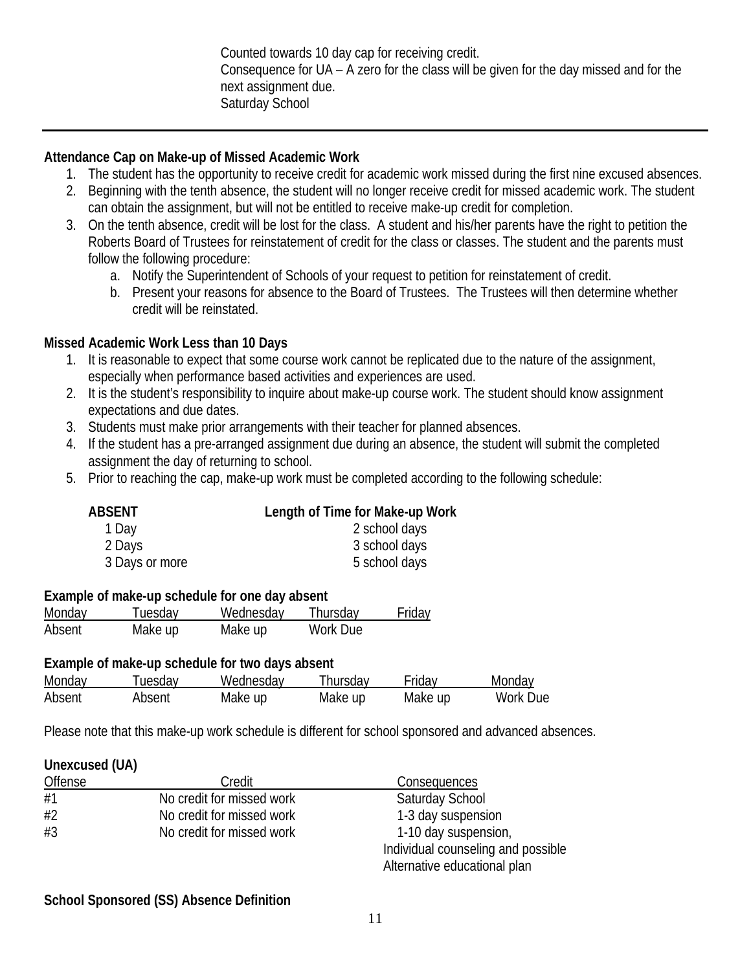Counted towards 10 day cap for receiving credit. Consequence for UA – A zero for the class will be given for the day missed and for the next assignment due. Saturday School

# **Attendance Cap on Make-up of Missed Academic Work**

- 1. The student has the opportunity to receive credit for academic work missed during the first nine excused absences.
- 2. Beginning with the tenth absence, the student will no longer receive credit for missed academic work. The student can obtain the assignment, but will not be entitled to receive make-up credit for completion.
- 3. On the tenth absence, credit will be lost for the class. A student and his/her parents have the right to petition the Roberts Board of Trustees for reinstatement of credit for the class or classes. The student and the parents must follow the following procedure:
	- a. Notify the Superintendent of Schools of your request to petition for reinstatement of credit.
	- b. Present your reasons for absence to the Board of Trustees. The Trustees will then determine whether credit will be reinstated.

## **Missed Academic Work Less than 10 Days**

- 1. It is reasonable to expect that some course work cannot be replicated due to the nature of the assignment, especially when performance based activities and experiences are used.
- 2. It is the student's responsibility to inquire about make-up course work. The student should know assignment expectations and due dates.
- 3. Students must make prior arrangements with their teacher for planned absences.
- 4. If the student has a pre-arranged assignment due during an absence, the student will submit the completed assignment the day of returning to school.
- 5. Prior to reaching the cap, make-up work must be completed according to the following schedule:

| <b>ABSENT</b>  | Length of Time for Make-up Work |
|----------------|---------------------------------|
| 1 Day          | 2 school days                   |
| 2 Days         | 3 school days                   |
| 3 Days or more | 5 school days                   |

## **Example of make-up schedule for one day absent**

| Monday | Tuesday | Wednesday | Thursday | Friday |
|--------|---------|-----------|----------|--------|
| Absent | Make up | Make up   | Work Due |        |

## **Example of make-up schedule for two days absent**

| Monday | uesdav | Wednesday | ! hursdav | Friday  | Monday   |
|--------|--------|-----------|-----------|---------|----------|
| Absent | Absent | Make up   | Make up   | Make up | Work Due |

Please note that this make-up work schedule is different for school sponsored and advanced absences.

## **Unexcused (UA)**

| Offense | Credit                    | Consequences                       |
|---------|---------------------------|------------------------------------|
| #1      | No credit for missed work | <b>Saturday School</b>             |
| #2      | No credit for missed work | 1-3 day suspension                 |
| #3      | No credit for missed work | 1-10 day suspension,               |
|         |                           | Individual counseling and possible |
|         |                           | Alternative educational plan       |

## **School Sponsored (SS) Absence Definition**